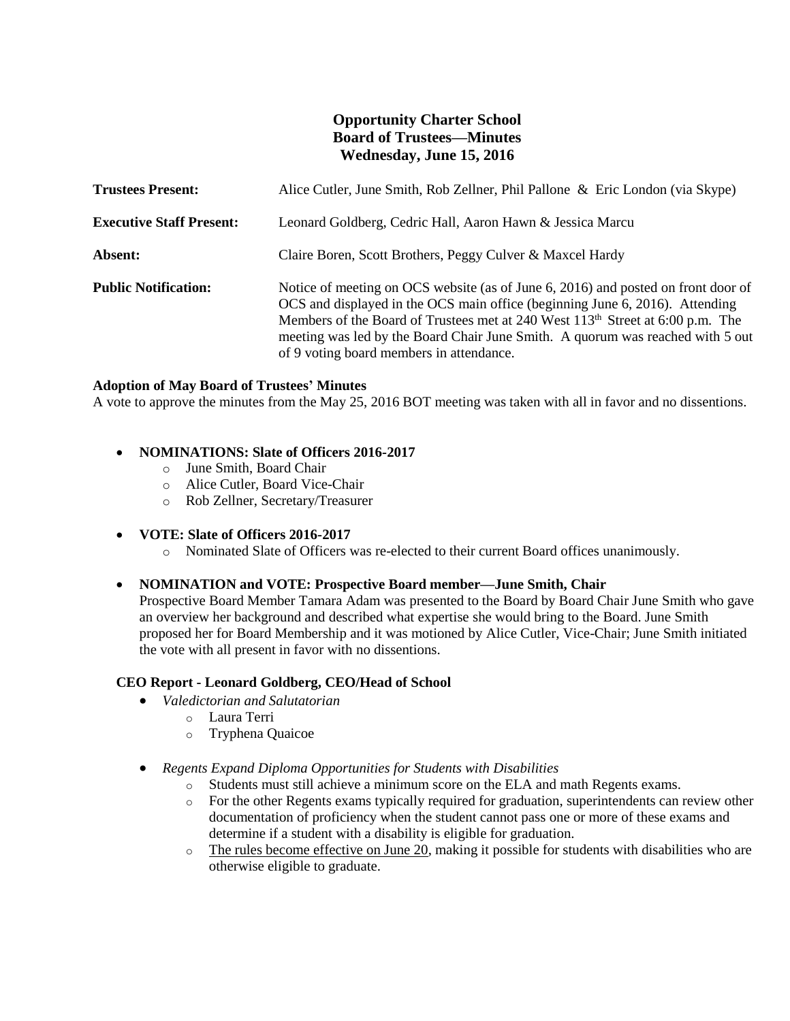# **Opportunity Charter School Board of Trustees—Minutes Wednesday, June 15, 2016**

| <b>Trustees Present:</b>        | Alice Cutler, June Smith, Rob Zellner, Phil Pallone & Eric London (via Skype)                                                                                                                                                                                                                                                                                                                 |
|---------------------------------|-----------------------------------------------------------------------------------------------------------------------------------------------------------------------------------------------------------------------------------------------------------------------------------------------------------------------------------------------------------------------------------------------|
| <b>Executive Staff Present:</b> | Leonard Goldberg, Cedric Hall, Aaron Hawn & Jessica Marcu                                                                                                                                                                                                                                                                                                                                     |
| Absent:                         | Claire Boren, Scott Brothers, Peggy Culver & Maxcel Hardy                                                                                                                                                                                                                                                                                                                                     |
| <b>Public Notification:</b>     | Notice of meeting on OCS website (as of June 6, 2016) and posted on front door of<br>OCS and displayed in the OCS main office (beginning June 6, 2016). Attending<br>Members of the Board of Trustees met at 240 West 113 <sup>th</sup> Street at 6:00 p.m. The<br>meeting was led by the Board Chair June Smith. A quorum was reached with 5 out<br>of 9 voting board members in attendance. |

### **Adoption of May Board of Trustees' Minutes**

A vote to approve the minutes from the May 25, 2016 BOT meeting was taken with all in favor and no dissentions.

## **NOMINATIONS: Slate of Officers 2016-2017**

- o June Smith, Board Chair
- o Alice Cutler, Board Vice-Chair
- o Rob Zellner, Secretary/Treasurer

## **VOTE: Slate of Officers 2016-2017**

o Nominated Slate of Officers was re-elected to their current Board offices unanimously.

## **NOMINATION and VOTE: Prospective Board member—June Smith, Chair**

Prospective Board Member Tamara Adam was presented to the Board by Board Chair June Smith who gave an overview her background and described what expertise she would bring to the Board. June Smith proposed her for Board Membership and it was motioned by Alice Cutler, Vice-Chair; June Smith initiated the vote with all present in favor with no dissentions.

## **CEO Report - Leonard Goldberg, CEO/Head of School**

- *Valedictorian and Salutatorian*
	- o Laura Terri
	- o Tryphena Quaicoe
- *Regents Expand Diploma Opportunities for Students with Disabilities*
	- o Students must still achieve a minimum score on the ELA and math Regents exams.
	- o For the other Regents exams typically required for graduation, superintendents can review other documentation of proficiency when the student cannot pass one or more of these exams and determine if a student with a disability is eligible for graduation.
	- o The rules become effective on June 20, making it possible for students with disabilities who are otherwise eligible to graduate.